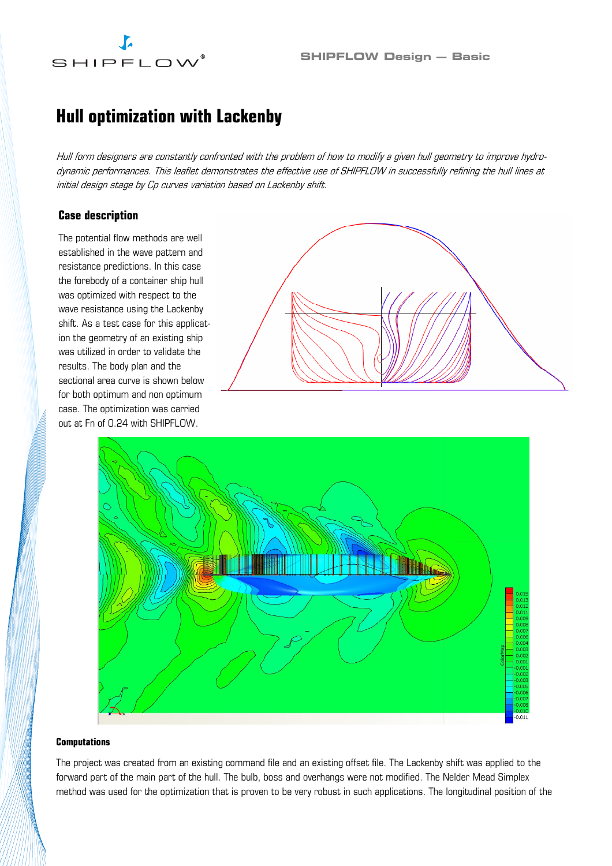# SHIPFLOW

### Hull optimization with Lackenby

Hull form designers are constantly confronted with the problem of how to modify a given hull geometry to improve hydrodynamic performances. This leaflet demonstrates the effective use of SHIPFLOW in successfully refining the hull lines at initial design stage by Cp curves variation based on Lackenby shift.

#### Case description

The potential flow methods are well established in the wave pattern and resistance predictions. In this case the forebody of a container ship hull was optimized with respect to the wave resistance using the Lackenby shift. As a test case for this application the geometry of an existing ship was utilized in order to validate the results. The body plan and the sectional area curve is shown below for both optimum and non optimum case. The optimization was carried out at Fn of 0.24 with SHIPFLOW.





#### Computations

The project was created from an existing command file and an existing offset file. The Lackenby shift was applied to the forward part of the main part of the hull. The bulb, boss and overhangs were not modified. The Nelder Mead Simplex method was used for the optimization that is proven to be very robust in such applications. The longitudinal position of the